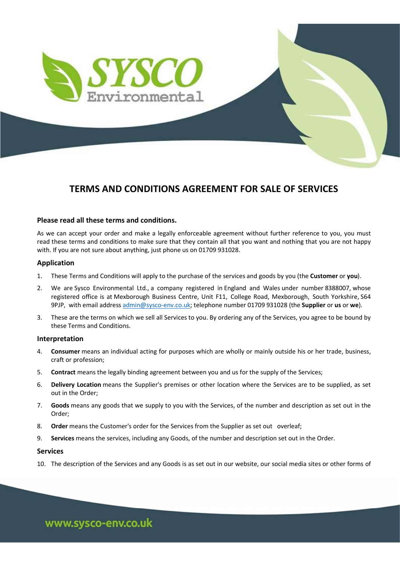

# TERMS AND CONDITIONS AGREEMENT FOR SALE OF SERVICES

# Please read all these terms and conditions.

As we can accept your order and make a legally enforceable agreement without further reference to you, you must read these terms and conditions to make sure that they contain all that you want and nothing that you are not happy with. If you are not sure about anything, just phone us on 01709 931028.

# Application

- 1. These Terms and Conditions will apply to the purchase of the services and goods by you (the Customer or you).
- 2. We are Sysco Environmental Ltd., a company registered in England and Wales under number 8388007, whose registered office is at Mexborough Business Centre, Unit F11, College Road, Mexborough, South Yorkshire, S64 9PJP, with email address admin@sysco-env.co.uk; telephone number 01709 931028 (the Supplier or us or we).
- 3. These are the terms on which we sell all Services to you. By ordering any of the Services, you agree to be bound by these Terms and Conditions.

# Interpretation

- 4. Consumer means an individual acting for purposes which are wholly or mainly outside his or her trade, business, craft or profession;
- 5. Contract means the legally binding agreement between you and us for the supply of the Services;
- 6. Delivery Location means the Supplier's premises or other location where the Services are to be supplied, as set out in the Order;
- 7. Goods means any goods that we supply to you with the Services, of the number and description as set out in the Order;
- 8. **Order** means the Customer's order for the Services from the Supplier as set out overleaf;
- 9. Services means the services, including any Goods, of the number and description set out in the Order.

## Services

10. The description of the Services and any Goods is as set out in our website, our social media sites or other forms of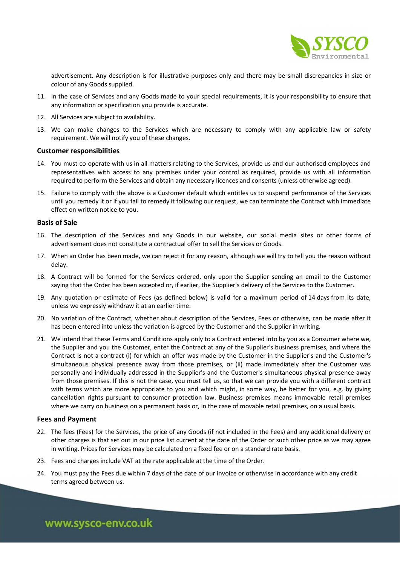

advertisement. Any description is for illustrative purposes only and there may be small discrepancies in size or colour of any Goods supplied.

- 11. In the case of Services and any Goods made to your special requirements, it is your responsibility to ensure that any information or specification you provide is accurate.
- 12. All Services are subject to availability.
- 13. We can make changes to the Services which are necessary to comply with any applicable law or safety requirement. We will notify you of these changes.

## Customer responsibilities

- 14. You must co-operate with us in all matters relating to the Services, provide us and our authorised employees and representatives with access to any premises under your control as required, provide us with all information required to perform the Services and obtain any necessary licences and consents (unless otherwise agreed).
- 15. Failure to comply with the above is a Customer default which entitles us to suspend performance of the Services until you remedy it or if you fail to remedy it following our request, we can terminate the Contract with immediate effect on written notice to you.

## Basis of Sale

- 16. The description of the Services and any Goods in our website, our social media sites or other forms of advertisement does not constitute a contractual offer to sell the Services or Goods.
- 17. When an Order has been made, we can reject it for any reason, although we will try to tell you the reason without delay.
- 18. A Contract will be formed for the Services ordered, only upon the Supplier sending an email to the Customer saying that the Order has been accepted or, if earlier, the Supplier's delivery of the Services to the Customer.
- 19. Any quotation or estimate of Fees (as defined below) is valid for a maximum period of 14 days from its date, unless we expressly withdraw it at an earlier time.
- 20. No variation of the Contract, whether about description of the Services, Fees or otherwise, can be made after it has been entered into unless the variation is agreed by the Customer and the Supplier in writing.
- 21. We intend that these Terms and Conditions apply only to a Contract entered into by you as a Consumer where we, the Supplier and you the Customer, enter the Contract at any of the Supplier's business premises, and where the Contract is not a contract (i) for which an offer was made by the Customer in the Supplier's and the Customer's simultaneous physical presence away from those premises, or (ii) made immediately after the Customer was personally and individually addressed in the Supplier's and the Customer's simultaneous physical presence away from those premises. If this is not the case, you must tell us, so that we can provide you with a different contract with terms which are more appropriate to you and which might, in some way, be better for you, e.g. by giving cancellation rights pursuant to consumer protection law. Business premises means immovable retail premises where we carry on business on a permanent basis or, in the case of movable retail premises, on a usual basis.

# Fees and Payment

- 22. The fees (Fees) for the Services, the price of any Goods (if not included in the Fees) and any additional delivery or other charges is that set out in our price list current at the date of the Order or such other price as we may agree in writing. Prices for Services may be calculated on a fixed fee or on a standard rate basis.
- 23. Fees and charges include VAT at the rate applicable at the time of the Order.
- 24. You must pay the Fees due within 7 days of the date of our invoice or otherwise in accordance with any credit terms agreed between us.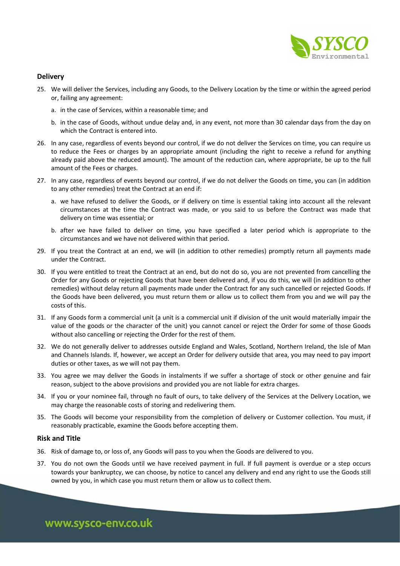

# **Delivery**

- 25. We will deliver the Services, including any Goods, to the Delivery Location by the time or within the agreed period or, failing any agreement:
	- a. in the case of Services, within a reasonable time; and
	- b. in the case of Goods, without undue delay and, in any event, not more than 30 calendar days from the day on which the Contract is entered into.
- 26. In any case, regardless of events beyond our control, if we do not deliver the Services on time, you can require us to reduce the Fees or charges by an appropriate amount (including the right to receive a refund for anything already paid above the reduced amount). The amount of the reduction can, where appropriate, be up to the full amount of the Fees or charges.
- 27. In any case, regardless of events beyond our control, if we do not deliver the Goods on time, you can (in addition to any other remedies) treat the Contract at an end if:
	- a. we have refused to deliver the Goods, or if delivery on time is essential taking into account all the relevant circumstances at the time the Contract was made, or you said to us before the Contract was made that delivery on time was essential; or
	- b. after we have failed to deliver on time, you have specified a later period which is appropriate to the circumstances and we have not delivered within that period.
- 29. If you treat the Contract at an end, we will (in addition to other remedies) promptly return all payments made under the Contract.
- 30. If you were entitled to treat the Contract at an end, but do not do so, you are not prevented from cancelling the Order for any Goods or rejecting Goods that have been delivered and, if you do this, we will (in addition to other remedies) without delay return all payments made under the Contract for any such cancelled or rejected Goods. If the Goods have been delivered, you must return them or allow us to collect them from you and we will pay the costs of this.
- 31. If any Goods form a commercial unit (a unit is a commercial unit if division of the unit would materially impair the value of the goods or the character of the unit) you cannot cancel or reject the Order for some of those Goods without also cancelling or rejecting the Order for the rest of them.
- 32. We do not generally deliver to addresses outside England and Wales, Scotland, Northern Ireland, the Isle of Man and Channels Islands. If, however, we accept an Order for delivery outside that area, you may need to pay import duties or other taxes, as we will not pay them.
- 33. You agree we may deliver the Goods in instalments if we suffer a shortage of stock or other genuine and fair reason, subject to the above provisions and provided you are not liable for extra charges.
- 34. If you or your nominee fail, through no fault of ours, to take delivery of the Services at the Delivery Location, we may charge the reasonable costs of storing and redelivering them.
- 35. The Goods will become your responsibility from the completion of delivery or Customer collection. You must, if reasonably practicable, examine the Goods before accepting them.

# Risk and Title

- 36. Risk of damage to, or loss of, any Goods will pass to you when the Goods are delivered to you.
- 37. You do not own the Goods until we have received payment in full. If full payment is overdue or a step occurs towards your bankruptcy, we can choose, by notice to cancel any delivery and end any right to use the Goods still owned by you, in which case you must return them or allow us to collect them.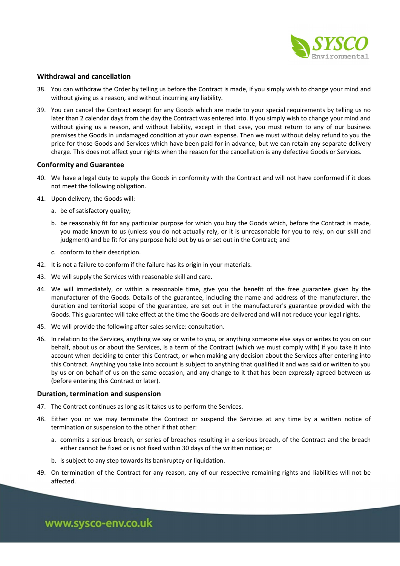

# Withdrawal and cancellation

- 38. You can withdraw the Order by telling us before the Contract is made, if you simply wish to change your mind and without giving us a reason, and without incurring any liability.
- 39. You can cancel the Contract except for any Goods which are made to your special requirements by telling us no later than 2 calendar days from the day the Contract was entered into. If you simply wish to change your mind and without giving us a reason, and without liability, except in that case, you must return to any of our business premises the Goods in undamaged condition at your own expense. Then we must without delay refund to you the price for those Goods and Services which have been paid for in advance, but we can retain any separate delivery charge. This does not affect your rights when the reason for the cancellation is any defective Goods or Services.

## Conformity and Guarantee

- 40. We have a legal duty to supply the Goods in conformity with the Contract and will not have conformed if it does not meet the following obligation.
- 41. Upon delivery, the Goods will:
	- a. be of satisfactory quality;
	- b. be reasonably fit for any particular purpose for which you buy the Goods which, before the Contract is made, you made known to us (unless you do not actually rely, or it is unreasonable for you to rely, on our skill and judgment) and be fit for any purpose held out by us or set out in the Contract; and
	- c. conform to their description.
- 42. It is not a failure to conform if the failure has its origin in your materials.
- 43. We will supply the Services with reasonable skill and care.
- 44. We will immediately, or within a reasonable time, give you the benefit of the free guarantee given by the manufacturer of the Goods. Details of the guarantee, including the name and address of the manufacturer, the duration and territorial scope of the guarantee, are set out in the manufacturer's guarantee provided with the Goods. This guarantee will take effect at the time the Goods are delivered and will not reduce your legal rights.
- 45. We will provide the following after-sales service: consultation.
- 46. In relation to the Services, anything we say or write to you, or anything someone else says or writes to you on our behalf, about us or about the Services, is a term of the Contract (which we must comply with) if you take it into account when deciding to enter this Contract, or when making any decision about the Services after entering into this Contract. Anything you take into account is subject to anything that qualified it and was said or written to you by us or on behalf of us on the same occasion, and any change to it that has been expressly agreed between us (before entering this Contract or later).

### Duration, termination and suspension

- 47. The Contract continues as long as it takes us to perform the Services.
- 48. Either you or we may terminate the Contract or suspend the Services at any time by a written notice of termination or suspension to the other if that other:
	- a. commits a serious breach, or series of breaches resulting in a serious breach, of the Contract and the breach either cannot be fixed or is not fixed within 30 days of the written notice; or
	- b. is subject to any step towards its bankruptcy or liquidation.
- 49. On termination of the Contract for any reason, any of our respective remaining rights and liabilities will not be affected.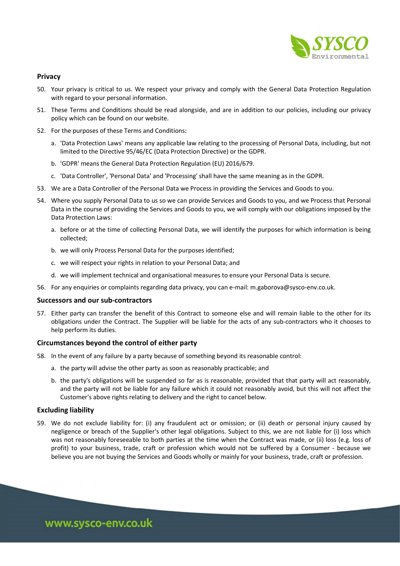

# Privacy

- 50. Your privacy is critical to us. We respect your privacy and comply with the General Data Protection Regulation with regard to your personal information.
- 51. These Terms and Conditions should be read alongside, and are in addition to our policies, including our privacy policy which can be found on our website.
- 52. For the purposes of these Terms and Conditions:
	- a. 'Data Protection Laws' means any applicable law relating to the processing of Personal Data, including, but not limited to the Directive 95/46/EC (Data Protection Directive) or the GDPR.
	- b. 'GDPR' means the General Data Protection Regulation (EU) 2016/679.
	- c. 'Data Controller', 'Personal Data' and 'Processing' shall have the same meaning as in the GDPR.
- 53. We are a Data Controller of the Personal Data we Process in providing the Services and Goods to you.
- 54. Where you supply Personal Data to us so we can provide Services and Goods to you, and we Process that Personal Data in the course of providing the Services and Goods to you, we will comply with our obligations imposed by the Data Protection Laws:
	- a. before or at the time of collecting Personal Data, we will identify the purposes for which information is being collected;
	- b. we will only Process Personal Data for the purposes identified;
	- c. we will respect your rights in relation to your Personal Data; and
	- d. we will implement technical and organisational measures to ensure your Personal Data is secure.
- 56. For any enquiries or complaints regarding data privacy, you can e-mail: m.gaborova@sysco-env.co.uk.

## Successors and our sub-contractors

57. Either party can transfer the benefit of this Contract to someone else and will remain liable to the other for its obligations under the Contract. The Supplier will be liable for the acts of any sub-contractors who it chooses to help perform its duties.

#### Circumstances beyond the control of either party

- 58. In the event of any failure by a party because of something beyond its reasonable control:
	- a. the party will advise the other party as soon as reasonably practicable; and
	- b. the party's obligations will be suspended so far as is reasonable, provided that that party will act reasonably, and the party will not be liable for any failure which it could not reasonably avoid, but this will not affect the Customer's above rights relating to delivery and the right to cancel below.

# Excluding liability

59. We do not exclude liability for: (i) any fraudulent act or omission; or (ii) death or personal injury caused by negligence or breach of the Supplier's other legal obligations. Subject to this, we are not liable for (i) loss which was not reasonably foreseeable to both parties at the time when the Contract was made, or (ii) loss (e.g. loss of profit) to your business, trade, craft or profession which would not be suffered by a Consumer - because we believe you are not buying the Services and Goods wholly or mainly for your business, trade, craft or profession.